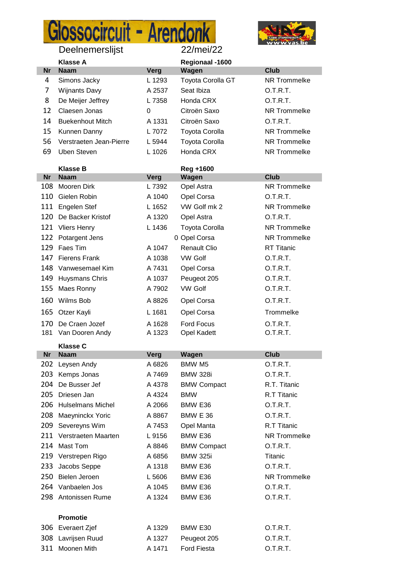## Glossocircuit - Arendonk



|    | Klasse A                |        | Regionaal -1600       |              |
|----|-------------------------|--------|-----------------------|--------------|
| Nr | <b>Naam</b>             | Verg   | Wagen                 | Club         |
| 4  | Simons Jacky            | L 1293 | Toyota Corolla GT     | NR Trommelke |
|    | <b>Wijnants Davy</b>    | A 2537 | Seat Ibiza            | O.T.R.T.     |
| 8  | De Meijer Jeffrey       | L 7358 | Honda CRX             | O.T.R.T.     |
| 12 | Claesen Jonas           | 0      | Citroën Saxo          | NR Trommelke |
| 14 | <b>Buekenhout Mitch</b> | A 1331 | Citroën Saxo          | O.T.R.T.     |
| 15 | Kunnen Danny            | L 7072 | <b>Toyota Corolla</b> | NR Trommelke |
| 56 | Verstraeten Jean-Pierre | L 5944 | <b>Toyota Corolla</b> | NR Trommelke |
| 69 | Uben Steven             | L 1026 | Honda CRX             | NR Trommelke |

|     | <b>Klasse B</b>      |        | Reg +1600             |                     |
|-----|----------------------|--------|-----------------------|---------------------|
| Nr  | <b>Naam</b>          | Verg   | Wagen                 | <b>Club</b>         |
| 108 | Mooren Dirk          | L 7392 | Opel Astra            | <b>NR Trommelke</b> |
| 110 | Gielen Robin         | A 1040 | Opel Corsa            | O.T.R.T.            |
|     | 111 Engelen Stef     | L 1652 | VW Golf mk 2          | NR Trommelke        |
| 120 | De Backer Kristof    | A 1320 | Opel Astra            | O.T.R.T.            |
|     | 121 Vliers Henry     | L 1436 | <b>Toyota Corolla</b> | NR Trommelke        |
|     | 122 Potargent Jens   |        | 0 Opel Corsa          | NR Trommelke        |
|     | 129 Faes Tim         | A 1047 | <b>Renault Clio</b>   | <b>RT</b> Titanic   |
| 147 | <b>Fierens Frank</b> | A 1038 | VW Golf               | O.T.R.T.            |
|     | 148 Vanwesemael Kim  | A 7431 | Opel Corsa            | O.T.R.T.            |
|     | 149 Huysmans Chris   | A 1037 | Peugeot 205           | O.T.R.T.            |
|     | 155 Maes Ronny       | A 7902 | <b>VW Golf</b>        | O.T.R.T.            |
| 160 | Wilms Bob            | A 8826 | Opel Corsa            | O.T.R.T.            |
|     | 165 Otzer Kayli      | L 1681 | Opel Corsa            | Trommelke           |
| 170 | De Craen Jozef       | A 1628 | <b>Ford Focus</b>     | O.T.R.T.            |
| 181 | Van Dooren Andy      | A 1323 | Opel Kadett           | O.T.R.T.            |

## **Klasse C**

| <b>Nr</b> | <b>Naam</b>             | Verg   | Wagen              | <b>Club</b>  |
|-----------|-------------------------|--------|--------------------|--------------|
|           | 202 Leysen Andy         | A 6826 | BMW M5             | O.T.R.T.     |
| 203       | Kemps Jonas             | A 7469 | <b>BMW 328i</b>    | O.T.R.T.     |
| 204       | De Busser Jef           | A 4378 | <b>BMW Compact</b> | R.T. Titanic |
|           | 205 Driesen Jan         | A 4324 | <b>BMW</b>         | R.T Titanic  |
|           | 206 Hulselmans Michel   | A 2066 | BMW E36            | O.T.R.T.     |
|           | 208 Maeyninckx Yoric    | A 8867 | <b>BMW E 36</b>    | O.T.R.T.     |
| 209       | Severeyns Wim           | A 7453 | Opel Manta         | R.T Titanic  |
|           | 211 Verstraeten Maarten | L 9156 | BMW E36            | NR Trommelke |
| 214       | Mast Tom                | A 8846 | <b>BMW Compact</b> | O.T.R.T.     |
|           | 219 Verstrepen Rigo     | A 6856 | <b>BMW 325i</b>    | Titanic      |
| 233       | Jacobs Seppe            | A 1318 | BMW E36            | O.T.R.T.     |
|           | 250 Bielen Jeroen       | L 5606 | BMW E36            | NR Trommelke |
|           | 264 Vanbaelen Jos       | A 1045 | BMW E36            | O.T.R.T.     |
| 298       | Antonissen Rume         | A 1324 | BMW E36            | O.T.R.T.     |
|           |                         |        |                    |              |
|           | <b>Promotie</b>         |        |                    |              |

| 306 Everaert Zjef  | A 1329 | BMW E30            | O.T.R.T. |
|--------------------|--------|--------------------|----------|
| 308 Lavrijsen Ruud |        | A 1327 Peugeot 205 | O.T.R.T. |
| 311 Moonen Mith    |        | A 1471 Ford Fiesta | O.T.R.T. |